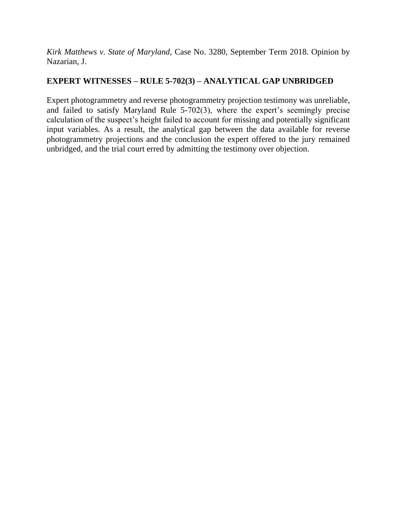*Kirk Matthews v. State of Maryland*, Case No. 3280, September Term 2018. Opinion by Nazarian, J.

# **EXPERT WITNESSES – RULE 5-702(3) – ANALYTICAL GAP UNBRIDGED**

Expert photogrammetry and reverse photogrammetry projection testimony was unreliable, and failed to satisfy Maryland Rule 5-702(3), where the expert's seemingly precise calculation of the suspect's height failed to account for missing and potentially significant input variables. As a result, the analytical gap between the data available for reverse photogrammetry projections and the conclusion the expert offered to the jury remained unbridged, and the trial court erred by admitting the testimony over objection.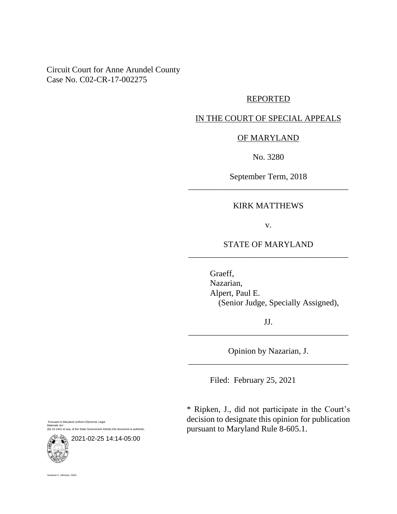Circuit Court for Anne Arundel County Case No. C02-CR-17-002275

#### REPORTED

## IN THE COURT OF SPECIAL APPEALS

#### OF MARYLAND

No. 3280

September Term, 2018 \_\_\_\_\_\_\_\_\_\_\_\_\_\_\_\_\_\_\_\_\_\_\_\_\_\_\_\_\_\_\_\_\_\_\_\_\_\_

### KIRK MATTHEWS

v.

## STATE OF MARYLAND \_\_\_\_\_\_\_\_\_\_\_\_\_\_\_\_\_\_\_\_\_\_\_\_\_\_\_\_\_\_\_\_\_\_\_\_\_\_

Graeff, Nazarian, Alpert, Paul E. (Senior Judge, Specially Assigned),

JJ. \_\_\_\_\_\_\_\_\_\_\_\_\_\_\_\_\_\_\_\_\_\_\_\_\_\_\_\_\_\_\_\_\_\_\_\_\_\_

Opinion by Nazarian, J. \_\_\_\_\_\_\_\_\_\_\_\_\_\_\_\_\_\_\_\_\_\_\_\_\_\_\_\_\_\_\_\_\_\_\_\_\_\_

Filed: February 25, 2021

\* Ripken, J., did not participate in the Court's decision to designate this opinion for publication pursuant to Maryland Rule 8-605.1.

Pursuant to Maryland Uniform Electronic Legal Materials Act (§§ 10-1601 et seq. of the State Government Article) this document is authentic.



Suzanne C. Johnson, Clerk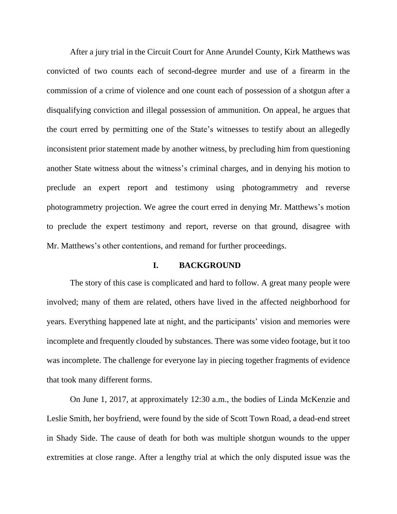After a jury trial in the Circuit Court for Anne Arundel County, Kirk Matthews was convicted of two counts each of second-degree murder and use of a firearm in the commission of a crime of violence and one count each of possession of a shotgun after a disqualifying conviction and illegal possession of ammunition. On appeal, he argues that the court erred by permitting one of the State's witnesses to testify about an allegedly inconsistent prior statement made by another witness, by precluding him from questioning another State witness about the witness's criminal charges, and in denying his motion to preclude an expert report and testimony using photogrammetry and reverse photogrammetry projection. We agree the court erred in denying Mr. Matthews's motion to preclude the expert testimony and report, reverse on that ground, disagree with Mr. Matthews's other contentions, and remand for further proceedings.

#### **I. BACKGROUND**

The story of this case is complicated and hard to follow. A great many people were involved; many of them are related, others have lived in the affected neighborhood for years. Everything happened late at night, and the participants' vision and memories were incomplete and frequently clouded by substances. There was some video footage, but it too was incomplete. The challenge for everyone lay in piecing together fragments of evidence that took many different forms.

On June 1, 2017, at approximately 12:30 a.m., the bodies of Linda McKenzie and Leslie Smith, her boyfriend, were found by the side of Scott Town Road, a dead-end street in Shady Side. The cause of death for both was multiple shotgun wounds to the upper extremities at close range. After a lengthy trial at which the only disputed issue was the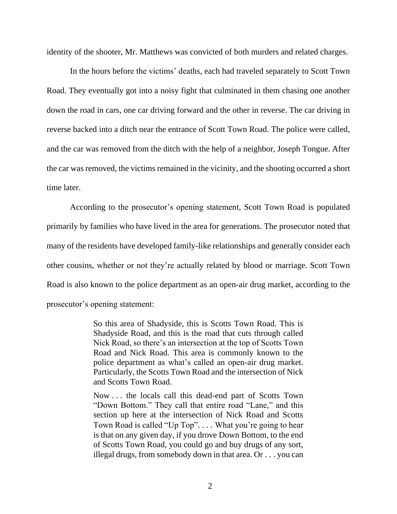identity of the shooter, Mr. Matthews was convicted of both murders and related charges.

In the hours before the victims' deaths, each had traveled separately to Scott Town Road. They eventually got into a noisy fight that culminated in them chasing one another down the road in cars, one car driving forward and the other in reverse. The car driving in reverse backed into a ditch near the entrance of Scott Town Road. The police were called, and the car was removed from the ditch with the help of a neighbor, Joseph Tongue. After the car was removed, the victims remained in the vicinity, and the shooting occurred a short time later.

According to the prosecutor's opening statement, Scott Town Road is populated primarily by families who have lived in the area for generations. The prosecutor noted that many of the residents have developed family-like relationships and generally consider each other cousins, whether or not they're actually related by blood or marriage. Scott Town Road is also known to the police department as an open-air drug market, according to the prosecutor's opening statement:

> So this area of Shadyside, this is Scotts Town Road. This is Shadyside Road, and this is the road that cuts through called Nick Road, so there's an intersection at the top of Scotts Town Road and Nick Road. This area is commonly known to the police department as what's called an open-air drug market. Particularly, the Scotts Town Road and the intersection of Nick and Scotts Town Road.

> Now . . . the locals call this dead-end part of Scotts Town "Down Bottom." They call that entire road "Lane," and this section up here at the intersection of Nick Road and Scotts Town Road is called "Up Top". . . . What you're going to hear is that on any given day, if you drove Down Bottom, to the end of Scotts Town Road, you could go and buy drugs of any sort, illegal drugs, from somebody down in that area. Or . . . you can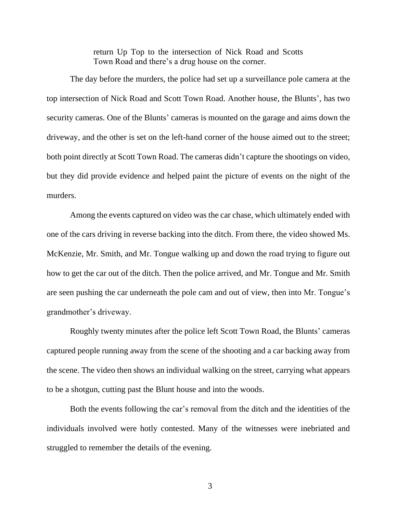return Up Top to the intersection of Nick Road and Scotts Town Road and there's a drug house on the corner.

The day before the murders, the police had set up a surveillance pole camera at the top intersection of Nick Road and Scott Town Road. Another house, the Blunts', has two security cameras. One of the Blunts' cameras is mounted on the garage and aims down the driveway, and the other is set on the left-hand corner of the house aimed out to the street; both point directly at Scott Town Road. The cameras didn't capture the shootings on video, but they did provide evidence and helped paint the picture of events on the night of the murders.

Among the events captured on video was the car chase, which ultimately ended with one of the cars driving in reverse backing into the ditch. From there, the video showed Ms. McKenzie, Mr. Smith, and Mr. Tongue walking up and down the road trying to figure out how to get the car out of the ditch. Then the police arrived, and Mr. Tongue and Mr. Smith are seen pushing the car underneath the pole cam and out of view, then into Mr. Tongue's grandmother's driveway.

Roughly twenty minutes after the police left Scott Town Road, the Blunts' cameras captured people running away from the scene of the shooting and a car backing away from the scene. The video then shows an individual walking on the street, carrying what appears to be a shotgun, cutting past the Blunt house and into the woods.

Both the events following the car's removal from the ditch and the identities of the individuals involved were hotly contested. Many of the witnesses were inebriated and struggled to remember the details of the evening.

3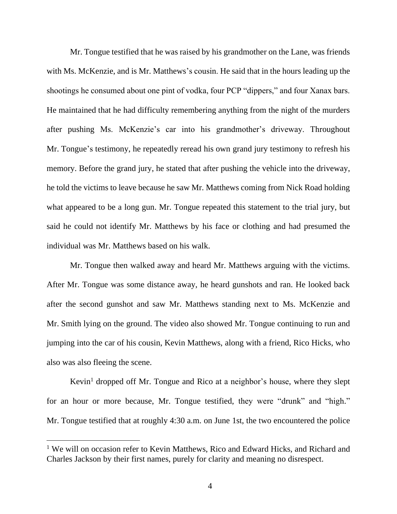Mr. Tongue testified that he was raised by his grandmother on the Lane, was friends with Ms. McKenzie, and is Mr. Matthews's cousin. He said that in the hours leading up the shootings he consumed about one pint of vodka, four PCP "dippers," and four Xanax bars. He maintained that he had difficulty remembering anything from the night of the murders after pushing Ms. McKenzie's car into his grandmother's driveway. Throughout Mr. Tongue's testimony, he repeatedly reread his own grand jury testimony to refresh his memory. Before the grand jury, he stated that after pushing the vehicle into the driveway, he told the victims to leave because he saw Mr. Matthews coming from Nick Road holding what appeared to be a long gun. Mr. Tongue repeated this statement to the trial jury, but said he could not identify Mr. Matthews by his face or clothing and had presumed the individual was Mr. Matthews based on his walk.

Mr. Tongue then walked away and heard Mr. Matthews arguing with the victims. After Mr. Tongue was some distance away, he heard gunshots and ran. He looked back after the second gunshot and saw Mr. Matthews standing next to Ms. McKenzie and Mr. Smith lying on the ground. The video also showed Mr. Tongue continuing to run and jumping into the car of his cousin, Kevin Matthews, along with a friend, Rico Hicks, who also was also fleeing the scene.

Kevin<sup>1</sup> dropped off Mr. Tongue and Rico at a neighbor's house, where they slept for an hour or more because, Mr. Tongue testified, they were "drunk" and "high." Mr. Tongue testified that at roughly 4:30 a.m. on June 1st, the two encountered the police

<sup>&</sup>lt;sup>1</sup> We will on occasion refer to Kevin Matthews, Rico and Edward Hicks, and Richard and Charles Jackson by their first names, purely for clarity and meaning no disrespect.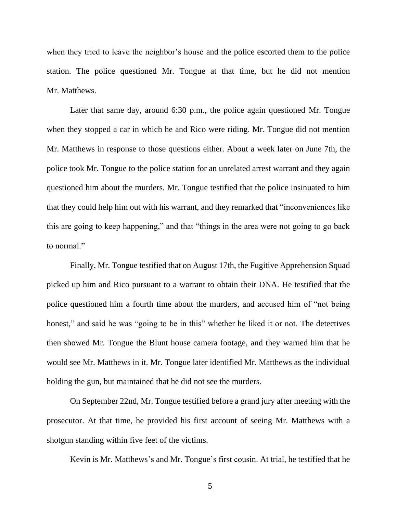when they tried to leave the neighbor's house and the police escorted them to the police station. The police questioned Mr. Tongue at that time, but he did not mention Mr. Matthews.

Later that same day, around 6:30 p.m., the police again questioned Mr. Tongue when they stopped a car in which he and Rico were riding. Mr. Tongue did not mention Mr. Matthews in response to those questions either. About a week later on June 7th, the police took Mr. Tongue to the police station for an unrelated arrest warrant and they again questioned him about the murders. Mr. Tongue testified that the police insinuated to him that they could help him out with his warrant, and they remarked that "inconveniences like this are going to keep happening," and that "things in the area were not going to go back to normal."

Finally, Mr. Tongue testified that on August 17th, the Fugitive Apprehension Squad picked up him and Rico pursuant to a warrant to obtain their DNA. He testified that the police questioned him a fourth time about the murders, and accused him of "not being honest," and said he was "going to be in this" whether he liked it or not. The detectives then showed Mr. Tongue the Blunt house camera footage, and they warned him that he would see Mr. Matthews in it. Mr. Tongue later identified Mr. Matthews as the individual holding the gun, but maintained that he did not see the murders.

On September 22nd, Mr. Tongue testified before a grand jury after meeting with the prosecutor. At that time, he provided his first account of seeing Mr. Matthews with a shotgun standing within five feet of the victims.

Kevin is Mr. Matthews's and Mr. Tongue's first cousin. At trial, he testified that he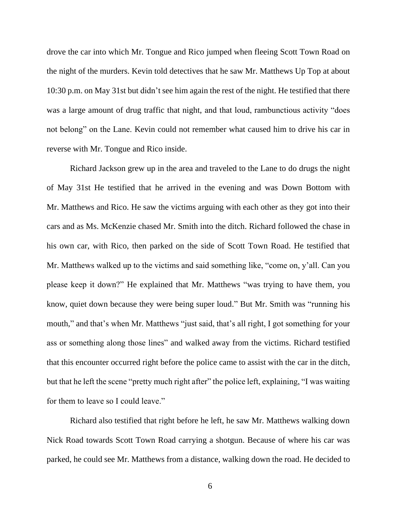drove the car into which Mr. Tongue and Rico jumped when fleeing Scott Town Road on the night of the murders. Kevin told detectives that he saw Mr. Matthews Up Top at about 10:30 p.m. on May 31st but didn't see him again the rest of the night. He testified that there was a large amount of drug traffic that night, and that loud, rambunctious activity "does not belong" on the Lane. Kevin could not remember what caused him to drive his car in reverse with Mr. Tongue and Rico inside.

Richard Jackson grew up in the area and traveled to the Lane to do drugs the night of May 31st He testified that he arrived in the evening and was Down Bottom with Mr. Matthews and Rico. He saw the victims arguing with each other as they got into their cars and as Ms. McKenzie chased Mr. Smith into the ditch. Richard followed the chase in his own car, with Rico, then parked on the side of Scott Town Road. He testified that Mr. Matthews walked up to the victims and said something like, "come on, y'all. Can you please keep it down?" He explained that Mr. Matthews "was trying to have them, you know, quiet down because they were being super loud." But Mr. Smith was "running his mouth," and that's when Mr. Matthews "just said, that's all right, I got something for your ass or something along those lines" and walked away from the victims. Richard testified that this encounter occurred right before the police came to assist with the car in the ditch, but that he left the scene "pretty much right after" the police left, explaining, "I was waiting for them to leave so I could leave."

Richard also testified that right before he left, he saw Mr. Matthews walking down Nick Road towards Scott Town Road carrying a shotgun. Because of where his car was parked, he could see Mr. Matthews from a distance, walking down the road. He decided to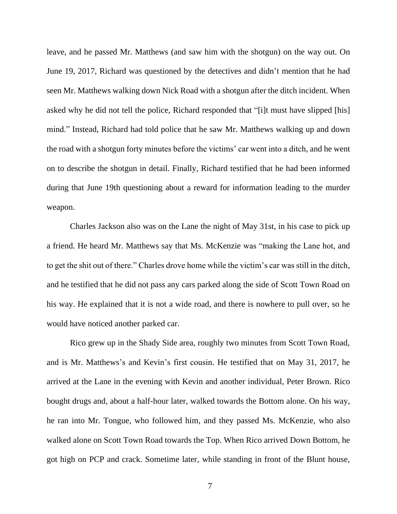leave, and he passed Mr. Matthews (and saw him with the shotgun) on the way out. On June 19, 2017, Richard was questioned by the detectives and didn't mention that he had seen Mr. Matthews walking down Nick Road with a shotgun after the ditch incident. When asked why he did not tell the police, Richard responded that "[i]t must have slipped [his] mind." Instead, Richard had told police that he saw Mr. Matthews walking up and down the road with a shotgun forty minutes before the victims' car went into a ditch, and he went on to describe the shotgun in detail. Finally, Richard testified that he had been informed during that June 19th questioning about a reward for information leading to the murder weapon.

Charles Jackson also was on the Lane the night of May 31st, in his case to pick up a friend. He heard Mr. Matthews say that Ms. McKenzie was "making the Lane hot, and to get the shit out of there." Charles drove home while the victim's car was still in the ditch, and he testified that he did not pass any cars parked along the side of Scott Town Road on his way. He explained that it is not a wide road, and there is nowhere to pull over, so he would have noticed another parked car.

Rico grew up in the Shady Side area, roughly two minutes from Scott Town Road, and is Mr. Matthews's and Kevin's first cousin. He testified that on May 31, 2017, he arrived at the Lane in the evening with Kevin and another individual, Peter Brown. Rico bought drugs and, about a half-hour later, walked towards the Bottom alone. On his way, he ran into Mr. Tongue, who followed him, and they passed Ms. McKenzie, who also walked alone on Scott Town Road towards the Top. When Rico arrived Down Bottom, he got high on PCP and crack. Sometime later, while standing in front of the Blunt house,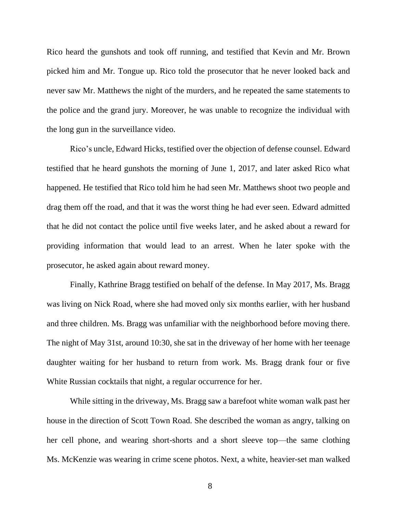Rico heard the gunshots and took off running, and testified that Kevin and Mr. Brown picked him and Mr. Tongue up. Rico told the prosecutor that he never looked back and never saw Mr. Matthews the night of the murders, and he repeated the same statements to the police and the grand jury. Moreover, he was unable to recognize the individual with the long gun in the surveillance video.

Rico's uncle, Edward Hicks, testified over the objection of defense counsel. Edward testified that he heard gunshots the morning of June 1, 2017, and later asked Rico what happened. He testified that Rico told him he had seen Mr. Matthews shoot two people and drag them off the road, and that it was the worst thing he had ever seen. Edward admitted that he did not contact the police until five weeks later, and he asked about a reward for providing information that would lead to an arrest. When he later spoke with the prosecutor, he asked again about reward money.

Finally, Kathrine Bragg testified on behalf of the defense. In May 2017, Ms. Bragg was living on Nick Road, where she had moved only six months earlier, with her husband and three children. Ms. Bragg was unfamiliar with the neighborhood before moving there. The night of May 31st, around 10:30, she sat in the driveway of her home with her teenage daughter waiting for her husband to return from work. Ms. Bragg drank four or five White Russian cocktails that night, a regular occurrence for her.

While sitting in the driveway, Ms. Bragg saw a barefoot white woman walk past her house in the direction of Scott Town Road. She described the woman as angry, talking on her cell phone, and wearing short-shorts and a short sleeve top—the same clothing Ms. McKenzie was wearing in crime scene photos. Next, a white, heavier-set man walked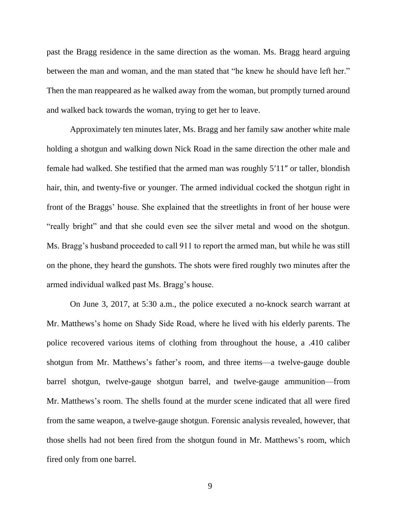past the Bragg residence in the same direction as the woman. Ms. Bragg heard arguing between the man and woman, and the man stated that "he knew he should have left her." Then the man reappeared as he walked away from the woman, but promptly turned around and walked back towards the woman, trying to get her to leave.

Approximately ten minutes later, Ms. Bragg and her family saw another white male holding a shotgun and walking down Nick Road in the same direction the other male and female had walked. She testified that the armed man was roughly 5′11″ or taller, blondish hair, thin, and twenty-five or younger. The armed individual cocked the shotgun right in front of the Braggs' house. She explained that the streetlights in front of her house were "really bright" and that she could even see the silver metal and wood on the shotgun. Ms. Bragg's husband proceeded to call 911 to report the armed man, but while he was still on the phone, they heard the gunshots. The shots were fired roughly two minutes after the armed individual walked past Ms. Bragg's house.

On June 3, 2017, at 5:30 a.m., the police executed a no-knock search warrant at Mr. Matthews's home on Shady Side Road, where he lived with his elderly parents. The police recovered various items of clothing from throughout the house, a .410 caliber shotgun from Mr. Matthews's father's room, and three items—a twelve-gauge double barrel shotgun, twelve-gauge shotgun barrel, and twelve-gauge ammunition—from Mr. Matthews's room. The shells found at the murder scene indicated that all were fired from the same weapon, a twelve-gauge shotgun. Forensic analysis revealed, however, that those shells had not been fired from the shotgun found in Mr. Matthews's room, which fired only from one barrel.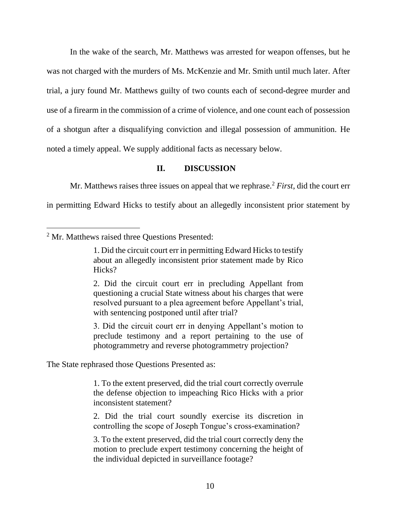In the wake of the search, Mr. Matthews was arrested for weapon offenses, but he was not charged with the murders of Ms. McKenzie and Mr. Smith until much later. After trial, a jury found Mr. Matthews guilty of two counts each of second-degree murder and use of a firearm in the commission of a crime of violence, and one count each of possession of a shotgun after a disqualifying conviction and illegal possession of ammunition. He noted a timely appeal. We supply additional facts as necessary below.

## **II. DISCUSSION**

Mr. Matthews raises three issues on appeal that we rephrase.<sup>2</sup> *First*, did the court err

in permitting Edward Hicks to testify about an allegedly inconsistent prior statement by

3. Did the circuit court err in denying Appellant's motion to preclude testimony and a report pertaining to the use of photogrammetry and reverse photogrammetry projection?

The State rephrased those Questions Presented as:

1. To the extent preserved, did the trial court correctly overrule the defense objection to impeaching Rico Hicks with a prior inconsistent statement?

2. Did the trial court soundly exercise its discretion in controlling the scope of Joseph Tongue's cross-examination?

3. To the extent preserved, did the trial court correctly deny the motion to preclude expert testimony concerning the height of the individual depicted in surveillance footage?

<sup>2</sup> Mr. Matthews raised three Questions Presented:

<sup>1.</sup> Did the circuit court err in permitting Edward Hicks to testify about an allegedly inconsistent prior statement made by Rico Hicks?

<sup>2.</sup> Did the circuit court err in precluding Appellant from questioning a crucial State witness about his charges that were resolved pursuant to a plea agreement before Appellant's trial, with sentencing postponed until after trial?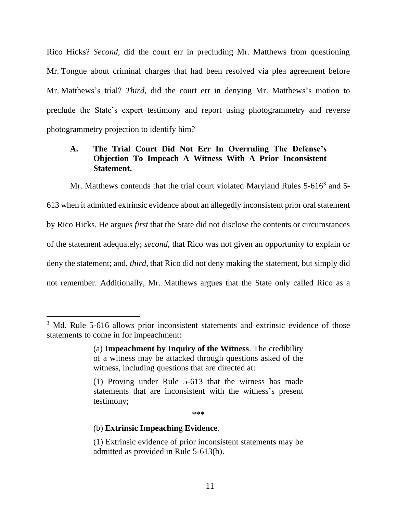Rico Hicks? *Second*, did the court err in precluding Mr. Matthews from questioning Mr. Tongue about criminal charges that had been resolved via plea agreement before Mr. Matthews's trial? *Third*, did the court err in denying Mr. Matthews's motion to preclude the State's expert testimony and report using photogrammetry and reverse photogrammetry projection to identify him?

## **A. The Trial Court Did Not Err In Overruling The Defense's Objection To Impeach A Witness With A Prior Inconsistent Statement.**

Mr. Matthews contends that the trial court violated Maryland Rules 5-616<sup>3</sup> and 5-613 when it admitted extrinsic evidence about an allegedly inconsistent prior oral statement by Rico Hicks. He argues *first* that the State did not disclose the contents or circumstances of the statement adequately; *second*, that Rico was not given an opportunity to explain or deny the statement; and, *third*, that Rico did not deny making the statement, but simply did not remember. Additionally, Mr. Matthews argues that the State only called Rico as a

\*\*\*

#### (b) **Extrinsic Impeaching Evidence**.

<sup>&</sup>lt;sup>3</sup> Md. Rule 5-616 allows prior inconsistent statements and extrinsic evidence of those statements to come in for impeachment:

<sup>(</sup>a) **Impeachment by Inquiry of the Witness**. The credibility of a witness may be attacked through questions asked of the witness, including questions that are directed at:

<sup>(1)</sup> Proving under Rule 5-613 that the witness has made statements that are inconsistent with the witness's present testimony;

<sup>(1)</sup> Extrinsic evidence of prior inconsistent statements may be admitted as provided in Rule 5-613(b).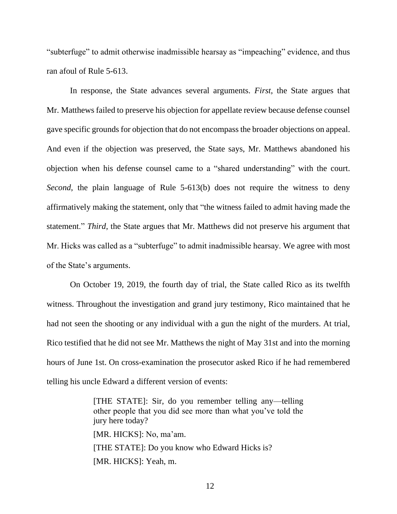"subterfuge" to admit otherwise inadmissible hearsay as "impeaching" evidence, and thus ran afoul of Rule 5-613.

In response, the State advances several arguments. *First*, the State argues that Mr. Matthews failed to preserve his objection for appellate review because defense counsel gave specific grounds for objection that do not encompass the broader objections on appeal. And even if the objection was preserved, the State says, Mr. Matthews abandoned his objection when his defense counsel came to a "shared understanding" with the court. *Second*, the plain language of Rule 5-613(b) does not require the witness to deny affirmatively making the statement, only that "the witness failed to admit having made the statement." *Third*, the State argues that Mr. Matthews did not preserve his argument that Mr. Hicks was called as a "subterfuge" to admit inadmissible hearsay. We agree with most of the State's arguments.

On October 19, 2019, the fourth day of trial, the State called Rico as its twelfth witness. Throughout the investigation and grand jury testimony, Rico maintained that he had not seen the shooting or any individual with a gun the night of the murders. At trial, Rico testified that he did not see Mr. Matthews the night of May 31st and into the morning hours of June 1st. On cross-examination the prosecutor asked Rico if he had remembered telling his uncle Edward a different version of events:

> [THE STATE]: Sir, do you remember telling any—telling other people that you did see more than what you've told the jury here today? [MR. HICKS]: No, ma'am. [THE STATE]: Do you know who Edward Hicks is? [MR. HICKS]: Yeah, m.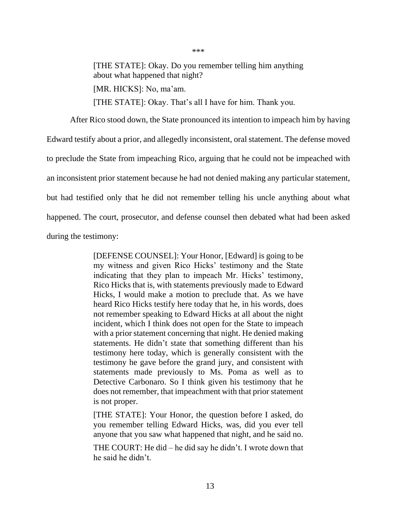[THE STATE]: Okay. Do you remember telling him anything about what happened that night?

\*\*\*

[MR. HICKS]: No, ma'am.

[THE STATE]: Okay. That's all I have for him. Thank you.

After Rico stood down, the State pronounced its intention to impeach him by having Edward testify about a prior, and allegedly inconsistent, oral statement. The defense moved to preclude the State from impeaching Rico, arguing that he could not be impeached with an inconsistent prior statement because he had not denied making any particular statement, but had testified only that he did not remember telling his uncle anything about what happened. The court, prosecutor, and defense counsel then debated what had been asked during the testimony:

> [DEFENSE COUNSEL]: Your Honor, [Edward] is going to be my witness and given Rico Hicks' testimony and the State indicating that they plan to impeach Mr. Hicks' testimony, Rico Hicks that is, with statements previously made to Edward Hicks, I would make a motion to preclude that. As we have heard Rico Hicks testify here today that he, in his words, does not remember speaking to Edward Hicks at all about the night incident, which I think does not open for the State to impeach with a prior statement concerning that night. He denied making statements. He didn't state that something different than his testimony here today, which is generally consistent with the testimony he gave before the grand jury, and consistent with statements made previously to Ms. Poma as well as to Detective Carbonaro. So I think given his testimony that he does not remember, that impeachment with that prior statement is not proper.

> [THE STATE]: Your Honor, the question before I asked, do you remember telling Edward Hicks, was, did you ever tell anyone that you saw what happened that night, and he said no.

> THE COURT: He did – he did say he didn't. I wrote down that he said he didn't.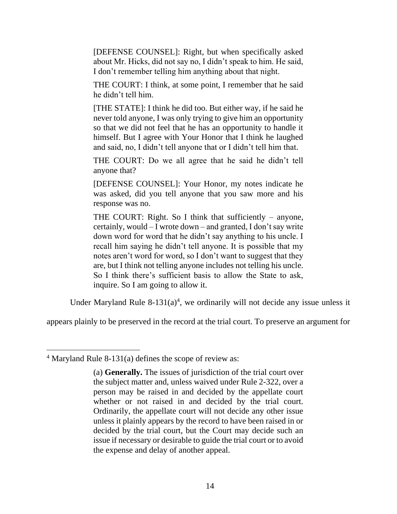[DEFENSE COUNSEL]: Right, but when specifically asked about Mr. Hicks, did not say no, I didn't speak to him. He said, I don't remember telling him anything about that night.

THE COURT: I think, at some point, I remember that he said he didn't tell him.

[THE STATE]: I think he did too. But either way, if he said he never told anyone, I was only trying to give him an opportunity so that we did not feel that he has an opportunity to handle it himself. But I agree with Your Honor that I think he laughed and said, no, I didn't tell anyone that or I didn't tell him that.

THE COURT: Do we all agree that he said he didn't tell anyone that?

[DEFENSE COUNSEL]: Your Honor, my notes indicate he was asked, did you tell anyone that you saw more and his response was no.

THE COURT: Right. So I think that sufficiently – anyone, certainly, would – I wrote down – and granted, I don't say write down word for word that he didn't say anything to his uncle. I recall him saying he didn't tell anyone. It is possible that my notes aren't word for word, so I don't want to suggest that they are, but I think not telling anyone includes not telling his uncle. So I think there's sufficient basis to allow the State to ask, inquire. So I am going to allow it.

Under Maryland Rule  $8-131(a)^4$ , we ordinarily will not decide any issue unless it

appears plainly to be preserved in the record at the trial court. To preserve an argument for

<sup>&</sup>lt;sup>4</sup> Maryland Rule 8-131(a) defines the scope of review as:

<sup>(</sup>a) **Generally.** The issues of jurisdiction of the trial court over the subject matter and, unless waived under Rule 2-322, over a person may be raised in and decided by the appellate court whether or not raised in and decided by the trial court. Ordinarily, the appellate court will not decide any other issue unless it plainly appears by the record to have been raised in or decided by the trial court, but the Court may decide such an issue if necessary or desirable to guide the trial court or to avoid the expense and delay of another appeal.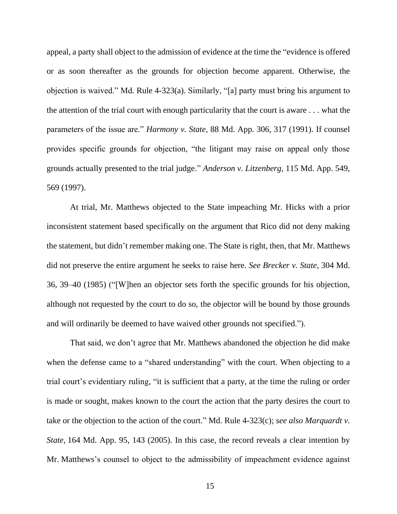appeal, a party shall object to the admission of evidence at the time the "evidence is offered or as soon thereafter as the grounds for objection become apparent. Otherwise, the objection is waived." Md. Rule 4-323(a). Similarly, "[a] party must bring his argument to the attention of the trial court with enough particularity that the court is aware . . . what the parameters of the issue are." *Harmony v. State*, 88 Md. App. 306, 317 (1991). If counsel provides specific grounds for objection, "the litigant may raise on appeal only those grounds actually presented to the trial judge." *Anderson v. Litzenberg*, 115 Md. App. 549, 569 (1997).

At trial, Mr. Matthews objected to the State impeaching Mr. Hicks with a prior inconsistent statement based specifically on the argument that Rico did not deny making the statement, but didn't remember making one. The State is right, then, that Mr. Matthews did not preserve the entire argument he seeks to raise here. *See Brecker v. State*, 304 Md. 36, 39–40 (1985) ("[W]hen an objector sets forth the specific grounds for his objection, although not requested by the court to do so, the objector will be bound by those grounds and will ordinarily be deemed to have waived other grounds not specified.").

That said, we don't agree that Mr. Matthews abandoned the objection he did make when the defense came to a "shared understanding" with the court. When objecting to a trial court's evidentiary ruling, "it is sufficient that a party, at the time the ruling or order is made or sought, makes known to the court the action that the party desires the court to take or the objection to the action of the court." Md. Rule 4-323(c); *see also Marquardt v. State*, 164 Md. App. 95, 143 (2005). In this case, the record reveals a clear intention by Mr. Matthews's counsel to object to the admissibility of impeachment evidence against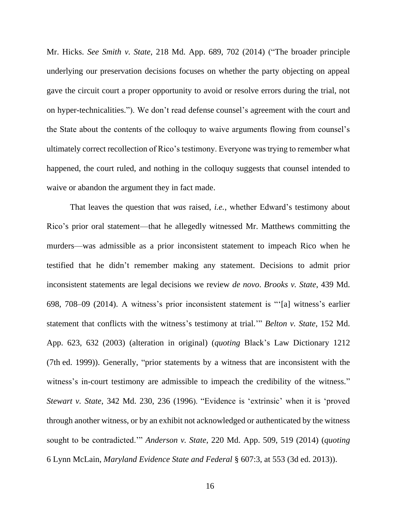Mr. Hicks. *See Smith v. State*, 218 Md. App. 689, 702 (2014) ("The broader principle underlying our preservation decisions focuses on whether the party objecting on appeal gave the circuit court a proper opportunity to avoid or resolve errors during the trial, not on hyper-technicalities."). We don't read defense counsel's agreement with the court and the State about the contents of the colloquy to waive arguments flowing from counsel's ultimately correct recollection of Rico's testimony. Everyone was trying to remember what happened, the court ruled, and nothing in the colloquy suggests that counsel intended to waive or abandon the argument they in fact made.

That leaves the question that *was* raised, *i.e.*, whether Edward's testimony about Rico's prior oral statement—that he allegedly witnessed Mr. Matthews committing the murders—was admissible as a prior inconsistent statement to impeach Rico when he testified that he didn't remember making any statement. Decisions to admit prior inconsistent statements are legal decisions we review *de novo*. *Brooks v. State*, 439 Md. 698, 708–09 (2014). A witness's prior inconsistent statement is "'[a] witness's earlier statement that conflicts with the witness's testimony at trial.'" *Belton v. State*, 152 Md. App. 623, 632 (2003) (alteration in original) (*quoting* Black's Law Dictionary 1212 (7th ed. 1999)). Generally, "prior statements by a witness that are inconsistent with the witness's in-court testimony are admissible to impeach the credibility of the witness." *Stewart v. State*, 342 Md. 230, 236 (1996). "Evidence is 'extrinsic' when it is 'proved through another witness, or by an exhibit not acknowledged or authenticated by the witness sought to be contradicted.'" *Anderson v. State*, 220 Md. App. 509, 519 (2014) (*quoting* 6 Lynn McLain, *Maryland Evidence State and Federal* § 607:3, at 553 (3d ed. 2013)).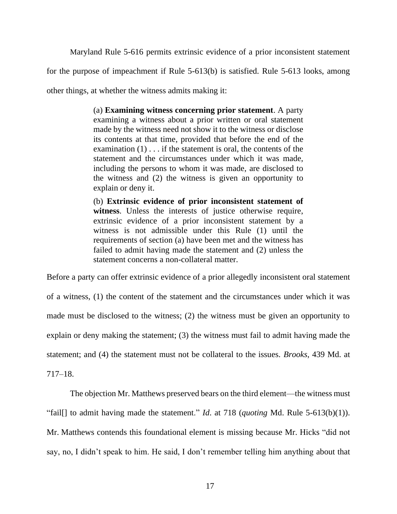Maryland Rule 5-616 permits extrinsic evidence of a prior inconsistent statement

for the purpose of impeachment if Rule 5-613(b) is satisfied. Rule 5-613 looks, among

other things, at whether the witness admits making it:

(a) **Examining witness concerning prior statement**. A party examining a witness about a prior written or oral statement made by the witness need not show it to the witness or disclose its contents at that time, provided that before the end of the examination (1) . . . if the statement is oral, the contents of the statement and the circumstances under which it was made, including the persons to whom it was made, are disclosed to the witness and (2) the witness is given an opportunity to explain or deny it.

(b) **Extrinsic evidence of prior inconsistent statement of witness**. Unless the interests of justice otherwise require, extrinsic evidence of a prior inconsistent statement by a witness is not admissible under this Rule (1) until the requirements of section (a) have been met and the witness has failed to admit having made the statement and (2) unless the statement concerns a non-collateral matter.

Before a party can offer extrinsic evidence of a prior allegedly inconsistent oral statement

of a witness, (1) the content of the statement and the circumstances under which it was made must be disclosed to the witness; (2) the witness must be given an opportunity to explain or deny making the statement; (3) the witness must fail to admit having made the statement; and (4) the statement must not be collateral to the issues. *Brooks*, 439 Md. at

717–18.

The objection Mr. Matthews preserved bears on the third element—the witness must "fail[] to admit having made the statement." *Id*. at 718 (*quoting* Md. Rule 5-613(b)(1)). Mr. Matthews contends this foundational element is missing because Mr. Hicks "did not say, no, I didn't speak to him. He said, I don't remember telling him anything about that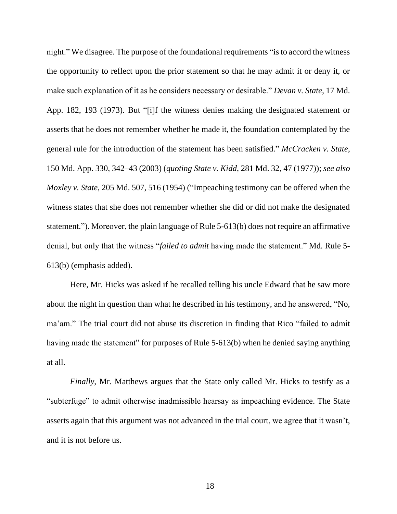night." We disagree. The purpose of the foundational requirements "is to accord the witness the opportunity to reflect upon the prior statement so that he may admit it or deny it, or make such explanation of it as he considers necessary or desirable." *Devan v. State*, 17 Md. App. 182, 193 (1973). But "[i]f the witness denies making the designated statement or asserts that he does not remember whether he made it, the foundation contemplated by the general rule for the introduction of the statement has been satisfied." *McCracken v. State*, 150 Md. App. 330, 342–43 (2003) (*quoting State v. Kidd*, 281 Md. 32, 47 (1977)); *see also Moxley v. State,* 205 Md. 507, 516 (1954) ("Impeaching testimony can be offered when the witness states that she does not remember whether she did or did not make the designated statement."). Moreover, the plain language of Rule 5-613(b) does not require an affirmative denial, but only that the witness "*failed to admit* having made the statement." Md. Rule 5- 613(b) (emphasis added).

Here, Mr. Hicks was asked if he recalled telling his uncle Edward that he saw more about the night in question than what he described in his testimony, and he answered, "No, ma'am." The trial court did not abuse its discretion in finding that Rico "failed to admit having made the statement" for purposes of Rule 5-613(b) when he denied saying anything at all.

*Finally*, Mr. Matthews argues that the State only called Mr. Hicks to testify as a "subterfuge" to admit otherwise inadmissible hearsay as impeaching evidence. The State asserts again that this argument was not advanced in the trial court, we agree that it wasn't, and it is not before us.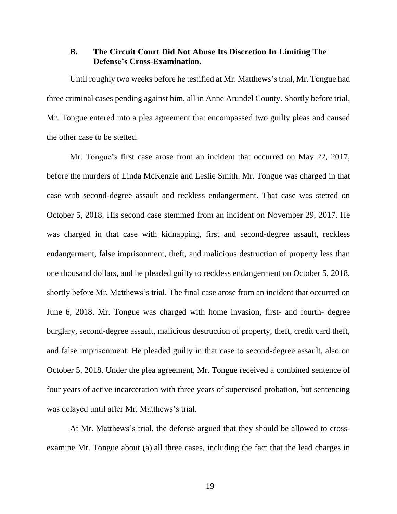### **B. The Circuit Court Did Not Abuse Its Discretion In Limiting The Defense's Cross-Examination.**

Until roughly two weeks before he testified at Mr. Matthews's trial, Mr. Tongue had three criminal cases pending against him, all in Anne Arundel County. Shortly before trial, Mr. Tongue entered into a plea agreement that encompassed two guilty pleas and caused the other case to be stetted.

Mr. Tongue's first case arose from an incident that occurred on May 22, 2017, before the murders of Linda McKenzie and Leslie Smith. Mr. Tongue was charged in that case with second-degree assault and reckless endangerment. That case was stetted on October 5, 2018. His second case stemmed from an incident on November 29, 2017. He was charged in that case with kidnapping, first and second-degree assault, reckless endangerment, false imprisonment, theft, and malicious destruction of property less than one thousand dollars, and he pleaded guilty to reckless endangerment on October 5, 2018, shortly before Mr. Matthews's trial. The final case arose from an incident that occurred on June 6, 2018. Mr. Tongue was charged with home invasion, first- and fourth- degree burglary, second-degree assault, malicious destruction of property, theft, credit card theft, and false imprisonment. He pleaded guilty in that case to second-degree assault, also on October 5, 2018. Under the plea agreement, Mr. Tongue received a combined sentence of four years of active incarceration with three years of supervised probation, but sentencing was delayed until after Mr. Matthews's trial.

At Mr. Matthews's trial, the defense argued that they should be allowed to crossexamine Mr. Tongue about (a) all three cases, including the fact that the lead charges in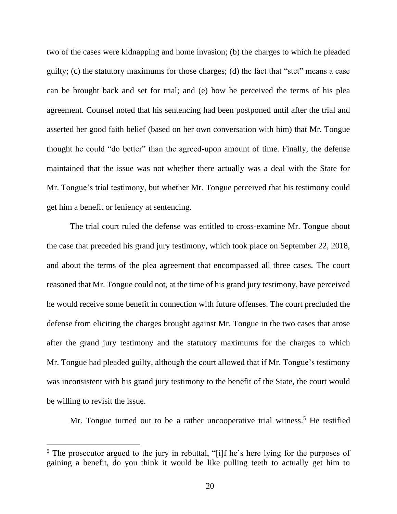two of the cases were kidnapping and home invasion; (b) the charges to which he pleaded guilty; (c) the statutory maximums for those charges; (d) the fact that "stet" means a case can be brought back and set for trial; and (e) how he perceived the terms of his plea agreement. Counsel noted that his sentencing had been postponed until after the trial and asserted her good faith belief (based on her own conversation with him) that Mr. Tongue thought he could "do better" than the agreed-upon amount of time. Finally, the defense maintained that the issue was not whether there actually was a deal with the State for Mr. Tongue's trial testimony, but whether Mr. Tongue perceived that his testimony could get him a benefit or leniency at sentencing.

The trial court ruled the defense was entitled to cross-examine Mr. Tongue about the case that preceded his grand jury testimony, which took place on September 22, 2018, and about the terms of the plea agreement that encompassed all three cases. The court reasoned that Mr. Tongue could not, at the time of his grand jury testimony, have perceived he would receive some benefit in connection with future offenses. The court precluded the defense from eliciting the charges brought against Mr. Tongue in the two cases that arose after the grand jury testimony and the statutory maximums for the charges to which Mr. Tongue had pleaded guilty, although the court allowed that if Mr. Tongue's testimony was inconsistent with his grand jury testimony to the benefit of the State, the court would be willing to revisit the issue.

Mr. Tongue turned out to be a rather uncooperative trial witness.<sup>5</sup> He testified

 $<sup>5</sup>$  The prosecutor argued to the jury in rebuttal, "[i]f he's here lying for the purposes of</sup> gaining a benefit, do you think it would be like pulling teeth to actually get him to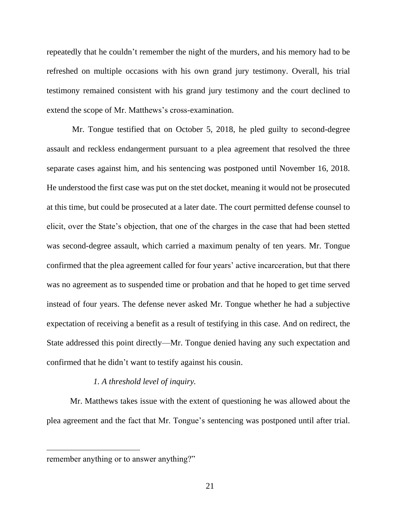repeatedly that he couldn't remember the night of the murders, and his memory had to be refreshed on multiple occasions with his own grand jury testimony. Overall, his trial testimony remained consistent with his grand jury testimony and the court declined to extend the scope of Mr. Matthews's cross-examination.

Mr. Tongue testified that on October 5, 2018, he pled guilty to second-degree assault and reckless endangerment pursuant to a plea agreement that resolved the three separate cases against him, and his sentencing was postponed until November 16, 2018. He understood the first case was put on the stet docket, meaning it would not be prosecuted at this time, but could be prosecuted at a later date. The court permitted defense counsel to elicit, over the State's objection, that one of the charges in the case that had been stetted was second-degree assault, which carried a maximum penalty of ten years. Mr. Tongue confirmed that the plea agreement called for four years' active incarceration, but that there was no agreement as to suspended time or probation and that he hoped to get time served instead of four years. The defense never asked Mr. Tongue whether he had a subjective expectation of receiving a benefit as a result of testifying in this case. And on redirect, the State addressed this point directly—Mr. Tongue denied having any such expectation and confirmed that he didn't want to testify against his cousin.

### *1. A threshold level of inquiry.*

Mr. Matthews takes issue with the extent of questioning he was allowed about the plea agreement and the fact that Mr. Tongue's sentencing was postponed until after trial.

remember anything or to answer anything?"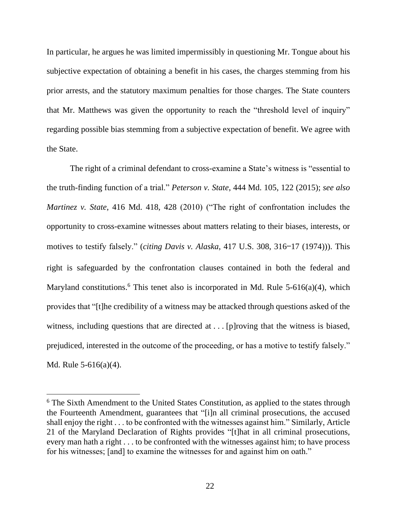In particular, he argues he was limited impermissibly in questioning Mr. Tongue about his subjective expectation of obtaining a benefit in his cases, the charges stemming from his prior arrests, and the statutory maximum penalties for those charges. The State counters that Mr. Matthews was given the opportunity to reach the "threshold level of inquiry" regarding possible bias stemming from a subjective expectation of benefit. We agree with the State.

The right of a criminal defendant to cross-examine a State's witness is "essential to the truth-finding function of a trial." *Peterson v. State*, 444 Md. 105, 122 (2015); *see also Martinez v. State*, 416 Md. 418, 428 (2010) ("The right of confrontation includes the opportunity to cross-examine witnesses about matters relating to their biases, interests, or motives to testify falsely." (*citing Davis v. Alaska*, 417 U.S. 308, 316—17 (1974))). This right is safeguarded by the confrontation clauses contained in both the federal and Maryland constitutions.<sup>6</sup> This tenet also is incorporated in Md. Rule 5-616(a)(4), which provides that "[t]he credibility of a witness may be attacked through questions asked of the witness, including questions that are directed at . . . [p] roving that the witness is biased, prejudiced, interested in the outcome of the proceeding, or has a motive to testify falsely." Md. Rule 5-616(a)(4).

<sup>&</sup>lt;sup>6</sup> The Sixth Amendment to the United States Constitution, as applied to the states through the Fourteenth Amendment, guarantees that "[i]n all criminal prosecutions, the accused shall enjoy the right . . . to be confronted with the witnesses against him." Similarly, Article 21 of the Maryland Declaration of Rights provides "[t]hat in all criminal prosecutions, every man hath a right . . . to be confronted with the witnesses against him; to have process for his witnesses; [and] to examine the witnesses for and against him on oath."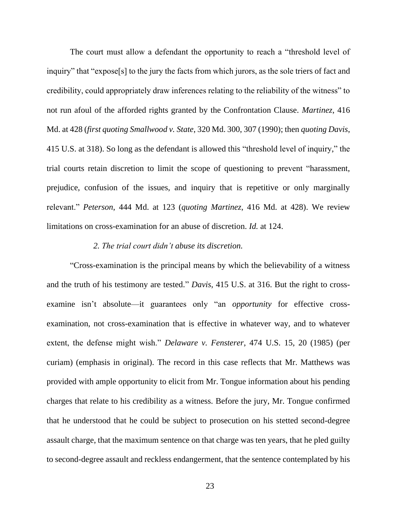The court must allow a defendant the opportunity to reach a "threshold level of inquiry" that "expose[s] to the jury the facts from which jurors, as the sole triers of fact and credibility, could appropriately draw inferences relating to the reliability of the witness" to not run afoul of the afforded rights granted by the Confrontation Clause. *Martinez*, 416 Md. at 428 (*first quoting Smallwood v. State*, 320 Md. 300, 307 (1990); then *quoting Davis*, 415 U.S. at 318). So long as the defendant is allowed this "threshold level of inquiry," the trial courts retain discretion to limit the scope of questioning to prevent "harassment, prejudice, confusion of the issues, and inquiry that is repetitive or only marginally relevant." *Peterson*, 444 Md. at 123 (*quoting Martinez*, 416 Md. at 428). We review limitations on cross-examination for an abuse of discretion. *Id.* at 124.

#### *2. The trial court didn't abuse its discretion.*

"Cross-examination is the principal means by which the believability of a witness and the truth of his testimony are tested." *Davis*, 415 U.S. at 316. But the right to crossexamine isn't absolute—it guarantees only "an *opportunity* for effective crossexamination, not cross-examination that is effective in whatever way, and to whatever extent, the defense might wish." *Delaware v. Fensterer*, 474 U.S. 15, 20 (1985) (per curiam) (emphasis in original). The record in this case reflects that Mr. Matthews was provided with ample opportunity to elicit from Mr. Tongue information about his pending charges that relate to his credibility as a witness. Before the jury, Mr. Tongue confirmed that he understood that he could be subject to prosecution on his stetted second-degree assault charge, that the maximum sentence on that charge was ten years, that he pled guilty to second-degree assault and reckless endangerment, that the sentence contemplated by his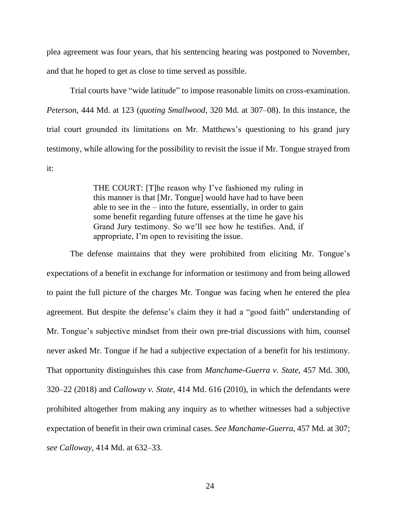plea agreement was four years, that his sentencing hearing was postponed to November, and that he hoped to get as close to time served as possible.

Trial courts have "wide latitude" to impose reasonable limits on cross-examination. *Peterson*, 444 Md. at 123 (*quoting Smallwood*, 320 Md. at 307–08). In this instance, the trial court grounded its limitations on Mr. Matthews's questioning to his grand jury testimony, while allowing for the possibility to revisit the issue if Mr. Tongue strayed from it:

> THE COURT: [T]he reason why I've fashioned my ruling in this manner is that [Mr. Tongue] would have had to have been able to see in the – into the future, essentially, in order to gain some benefit regarding future offenses at the time he gave his Grand Jury testimony. So we'll see how he testifies. And, if appropriate, I'm open to revisiting the issue.

The defense maintains that they were prohibited from eliciting Mr. Tongue's expectations of a benefit in exchange for information or testimony and from being allowed to paint the full picture of the charges Mr. Tongue was facing when he entered the plea agreement. But despite the defense's claim they it had a "good faith" understanding of Mr. Tongue's subjective mindset from their own pre-trial discussions with him, counsel never asked Mr. Tongue if he had a subjective expectation of a benefit for his testimony. That opportunity distinguishes this case from *Manchame-Guerra v. State*, 457 Md. 300, 320–22 (2018) and *Calloway v. State*, 414 Md. 616 (2010), in which the defendants were prohibited altogether from making any inquiry as to whether witnesses had a subjective expectation of benefit in their own criminal cases. *See Manchame-Guerra*, 457 Md. at 307; *see Calloway*, 414 Md. at 632–33.

24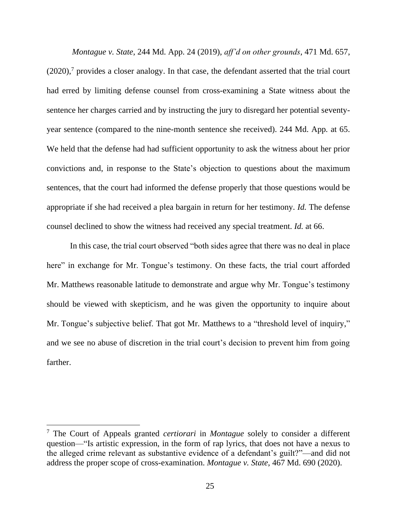*Montague v. State*, 244 Md. App. 24 (2019), *aff'd on other grounds*, 471 Md. 657,  $(2020)$ ,<sup>7</sup> provides a closer analogy. In that case, the defendant asserted that the trial court had erred by limiting defense counsel from cross-examining a State witness about the sentence her charges carried and by instructing the jury to disregard her potential seventyyear sentence (compared to the nine-month sentence she received). 244 Md. App*.* at 65. We held that the defense had had sufficient opportunity to ask the witness about her prior convictions and, in response to the State's objection to questions about the maximum sentences, that the court had informed the defense properly that those questions would be appropriate if she had received a plea bargain in return for her testimony. *Id.* The defense counsel declined to show the witness had received any special treatment. *Id.* at 66.

In this case, the trial court observed "both sides agree that there was no deal in place here" in exchange for Mr. Tongue's testimony. On these facts, the trial court afforded Mr. Matthews reasonable latitude to demonstrate and argue why Mr. Tongue's testimony should be viewed with skepticism, and he was given the opportunity to inquire about Mr. Tongue's subjective belief. That got Mr. Matthews to a "threshold level of inquiry," and we see no abuse of discretion in the trial court's decision to prevent him from going farther.

<sup>7</sup> The Court of Appeals granted *certiorari* in *Montague* solely to consider a different question—"Is artistic expression, in the form of rap lyrics, that does not have a nexus to the alleged crime relevant as substantive evidence of a defendant's guilt?"—and did not address the proper scope of cross-examination. *Montague v. State*, 467 Md. 690 (2020).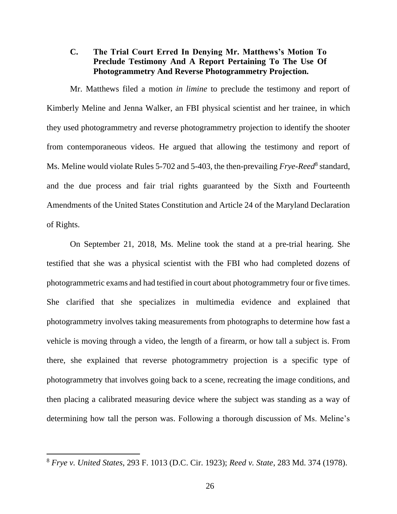## **C. The Trial Court Erred In Denying Mr. Matthews's Motion To Preclude Testimony And A Report Pertaining To The Use Of Photogrammetry And Reverse Photogrammetry Projection.**

Mr. Matthews filed a motion *in limine* to preclude the testimony and report of Kimberly Meline and Jenna Walker, an FBI physical scientist and her trainee, in which they used photogrammetry and reverse photogrammetry projection to identify the shooter from contemporaneous videos. He argued that allowing the testimony and report of Ms. Meline would violate Rules 5-702 and 5-403, the then-prevailing *Frye-Reed*<sup>8</sup> standard, and the due process and fair trial rights guaranteed by the Sixth and Fourteenth Amendments of the United States Constitution and Article 24 of the Maryland Declaration of Rights.

On September 21, 2018, Ms. Meline took the stand at a pre-trial hearing. She testified that she was a physical scientist with the FBI who had completed dozens of photogrammetric exams and had testified in court about photogrammetry four or five times. She clarified that she specializes in multimedia evidence and explained that photogrammetry involves taking measurements from photographs to determine how fast a vehicle is moving through a video, the length of a firearm, or how tall a subject is. From there, she explained that reverse photogrammetry projection is a specific type of photogrammetry that involves going back to a scene, recreating the image conditions, and then placing a calibrated measuring device where the subject was standing as a way of determining how tall the person was. Following a thorough discussion of Ms. Meline's

<sup>8</sup> *Frye v. United States*, 293 F. 1013 (D.C. Cir. 1923); *Reed v. State*, 283 Md. 374 (1978).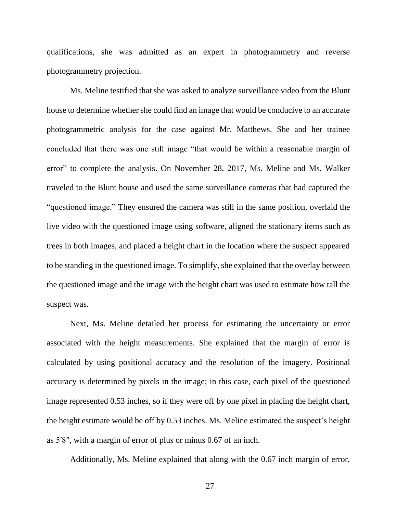qualifications, she was admitted as an expert in photogrammetry and reverse photogrammetry projection.

Ms. Meline testified that she was asked to analyze surveillance video from the Blunt house to determine whether she could find an image that would be conducive to an accurate photogrammetric analysis for the case against Mr. Matthews. She and her trainee concluded that there was one still image "that would be within a reasonable margin of error" to complete the analysis. On November 28, 2017, Ms. Meline and Ms. Walker traveled to the Blunt house and used the same surveillance cameras that had captured the "questioned image." They ensured the camera was still in the same position, overlaid the live video with the questioned image using software, aligned the stationary items such as trees in both images, and placed a height chart in the location where the suspect appeared to be standing in the questioned image. To simplify, she explained that the overlay between the questioned image and the image with the height chart was used to estimate how tall the suspect was.

Next, Ms. Meline detailed her process for estimating the uncertainty or error associated with the height measurements. She explained that the margin of error is calculated by using positional accuracy and the resolution of the imagery. Positional accuracy is determined by pixels in the image; in this case, each pixel of the questioned image represented 0.53 inches, so if they were off by one pixel in placing the height chart, the height estimate would be off by 0.53 inches. Ms. Meline estimated the suspect's height as 5′8″, with a margin of error of plus or minus 0.67 of an inch.

Additionally, Ms. Meline explained that along with the 0.67 inch margin of error,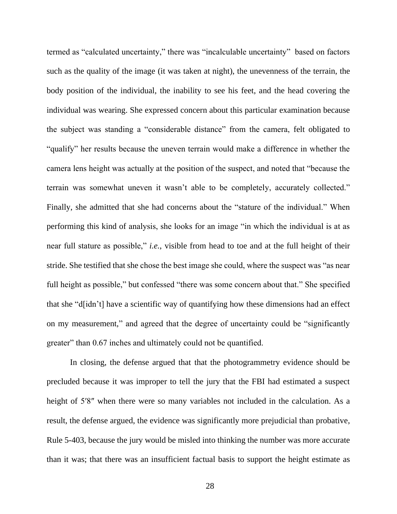termed as "calculated uncertainty," there was "incalculable uncertainty" based on factors such as the quality of the image (it was taken at night), the unevenness of the terrain, the body position of the individual, the inability to see his feet, and the head covering the individual was wearing. She expressed concern about this particular examination because the subject was standing a "considerable distance" from the camera, felt obligated to "qualify" her results because the uneven terrain would make a difference in whether the camera lens height was actually at the position of the suspect, and noted that "because the terrain was somewhat uneven it wasn't able to be completely, accurately collected." Finally, she admitted that she had concerns about the "stature of the individual." When performing this kind of analysis, she looks for an image "in which the individual is at as near full stature as possible," *i.e.*, visible from head to toe and at the full height of their stride. She testified that she chose the best image she could, where the suspect was "as near full height as possible," but confessed "there was some concern about that." She specified that she "d[idn't] have a scientific way of quantifying how these dimensions had an effect on my measurement," and agreed that the degree of uncertainty could be "significantly greater" than 0.67 inches and ultimately could not be quantified.

In closing, the defense argued that that the photogrammetry evidence should be precluded because it was improper to tell the jury that the FBI had estimated a suspect height of 5'8" when there were so many variables not included in the calculation. As a result, the defense argued, the evidence was significantly more prejudicial than probative, Rule 5-403, because the jury would be misled into thinking the number was more accurate than it was; that there was an insufficient factual basis to support the height estimate as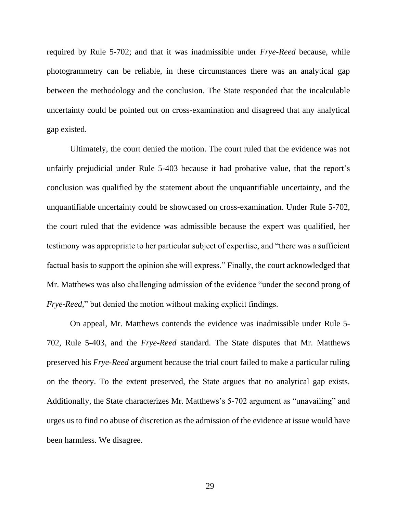required by Rule 5-702; and that it was inadmissible under *Frye-Reed* because, while photogrammetry can be reliable, in these circumstances there was an analytical gap between the methodology and the conclusion. The State responded that the incalculable uncertainty could be pointed out on cross-examination and disagreed that any analytical gap existed.

Ultimately, the court denied the motion. The court ruled that the evidence was not unfairly prejudicial under Rule 5-403 because it had probative value, that the report's conclusion was qualified by the statement about the unquantifiable uncertainty, and the unquantifiable uncertainty could be showcased on cross-examination. Under Rule 5-702, the court ruled that the evidence was admissible because the expert was qualified, her testimony was appropriate to her particular subject of expertise, and "there was a sufficient factual basis to support the opinion she will express." Finally, the court acknowledged that Mr. Matthews was also challenging admission of the evidence "under the second prong of *Frye-Reed*," but denied the motion without making explicit findings.

On appeal, Mr. Matthews contends the evidence was inadmissible under Rule 5- 702, Rule 5-403, and the *Frye-Reed* standard. The State disputes that Mr. Matthews preserved his *Frye-Reed* argument because the trial court failed to make a particular ruling on the theory. To the extent preserved, the State argues that no analytical gap exists. Additionally, the State characterizes Mr. Matthews's 5-702 argument as "unavailing" and urges us to find no abuse of discretion as the admission of the evidence at issue would have been harmless. We disagree.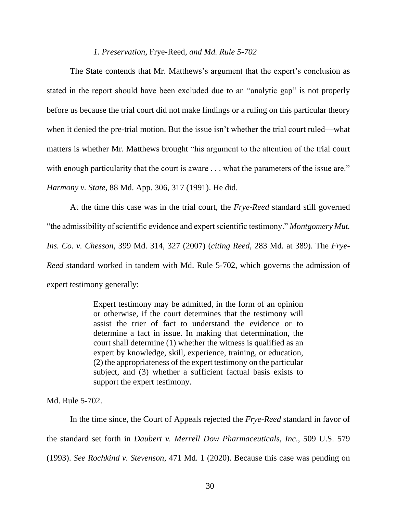#### *1. Preservation,* Frye-Reed*, and Md. Rule 5-702*

The State contends that Mr. Matthews's argument that the expert's conclusion as stated in the report should have been excluded due to an "analytic gap" is not properly before us because the trial court did not make findings or a ruling on this particular theory when it denied the pre-trial motion. But the issue isn't whether the trial court ruled—what matters is whether Mr. Matthews brought "his argument to the attention of the trial court with enough particularity that the court is aware . . . what the parameters of the issue are." *Harmony v. State*, 88 Md. App. 306, 317 (1991). He did.

At the time this case was in the trial court, the *Frye-Reed* standard still governed "the admissibility of scientific evidence and expert scientific testimony." *Montgomery Mut. Ins. Co. v. Chesson*, 399 Md. 314, 327 (2007) (*citing Reed*, 283 Md. at 389). The *Frye-Reed* standard worked in tandem with Md. Rule 5-702, which governs the admission of expert testimony generally:

> Expert testimony may be admitted, in the form of an opinion or otherwise, if the court determines that the testimony will assist the trier of fact to understand the evidence or to determine a fact in issue. In making that determination, the court shall determine (1) whether the witness is qualified as an expert by knowledge, skill, experience, training, or education, (2) the appropriateness of the expert testimony on the particular subject, and (3) whether a sufficient factual basis exists to support the expert testimony.

Md. Rule 5-702.

In the time since, the Court of Appeals rejected the *Frye-Reed* standard in favor of the standard set forth in *Daubert v. Merrell Dow Pharmaceuticals, Inc*., 509 U.S. 579 (1993). *See Rochkind v. Stevenson*, 471 Md. 1 (2020). Because this case was pending on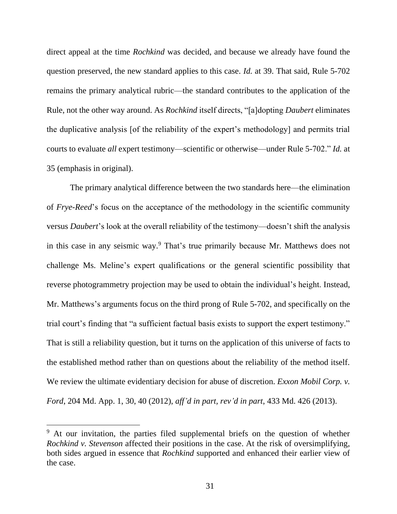direct appeal at the time *Rochkind* was decided, and because we already have found the question preserved, the new standard applies to this case. *Id.* at 39. That said, Rule 5-702 remains the primary analytical rubric—the standard contributes to the application of the Rule, not the other way around. As *Rochkind* itself directs, "[a]dopting *Daubert* eliminates the duplicative analysis [of the reliability of the expert's methodology] and permits trial courts to evaluate *all* expert testimony—scientific or otherwise—under Rule 5-702." *Id.* at 35 (emphasis in original).

The primary analytical difference between the two standards here—the elimination of *Frye-Reed*'s focus on the acceptance of the methodology in the scientific community versus *Daubert*'s look at the overall reliability of the testimony—doesn't shift the analysis in this case in any seismic way. <sup>9</sup> That's true primarily because Mr. Matthews does not challenge Ms. Meline's expert qualifications or the general scientific possibility that reverse photogrammetry projection may be used to obtain the individual's height. Instead, Mr. Matthews's arguments focus on the third prong of Rule 5-702, and specifically on the trial court's finding that "a sufficient factual basis exists to support the expert testimony." That is still a reliability question, but it turns on the application of this universe of facts to the established method rather than on questions about the reliability of the method itself. We review the ultimate evidentiary decision for abuse of discretion. *Exxon Mobil Corp. v. Ford*, 204 Md. App. 1, 30, 40 (2012), *aff'd in part, rev'd in part*, 433 Md. 426 (2013).

<sup>&</sup>lt;sup>9</sup> At our invitation, the parties filed supplemental briefs on the question of whether *Rochkind v. Stevenson* affected their positions in the case. At the risk of oversimplifying, both sides argued in essence that *Rochkind* supported and enhanced their earlier view of the case.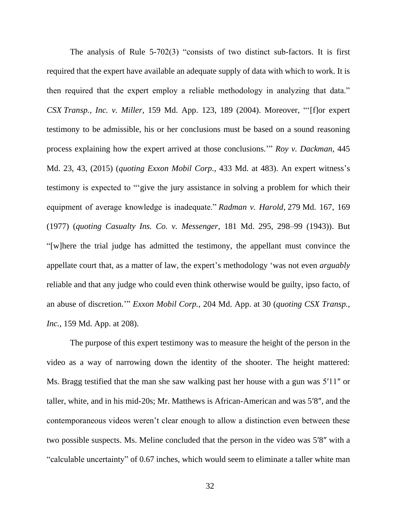The analysis of Rule 5-702(3) "consists of two distinct sub-factors. It is first required that the expert have available an adequate supply of data with which to work. It is then required that the expert employ a reliable methodology in analyzing that data." *CSX Transp., Inc. v. Miller*, 159 Md. App. 123, 189 (2004). Moreover, "'[f]or expert testimony to be admissible, his or her conclusions must be based on a sound reasoning process explaining how the expert arrived at those conclusions.'" *Roy v. Dackman*, 445 Md. 23, 43, (2015) (*quoting Exxon Mobil Corp.*, 433 Md. at 483). An expert witness's testimony is expected to "'give the jury assistance in solving a problem for which their equipment of average knowledge is inadequate." *Radman v. Harold*, 279 Md. 167, 169 (1977) (*quoting Casualty Ins. Co. v. Messenger*, 181 Md. 295, 298–99 (1943)). But "[w]here the trial judge has admitted the testimony, the appellant must convince the appellate court that, as a matter of law, the expert's methodology 'was not even *arguably* reliable and that any judge who could even think otherwise would be guilty, ipso facto, of an abuse of discretion.'" *Exxon Mobil Corp.*, 204 Md. App. at 30 (*quoting CSX Transp., Inc.*, 159 Md. App. at 208).

The purpose of this expert testimony was to measure the height of the person in the video as a way of narrowing down the identity of the shooter. The height mattered: Ms. Bragg testified that the man she saw walking past her house with a gun was 5′11″ or taller, white, and in his mid-20s; Mr. Matthews is African-American and was 5′8″, and the contemporaneous videos weren't clear enough to allow a distinction even between these two possible suspects. Ms. Meline concluded that the person in the video was 5′8″ with a "calculable uncertainty" of 0.67 inches, which would seem to eliminate a taller white man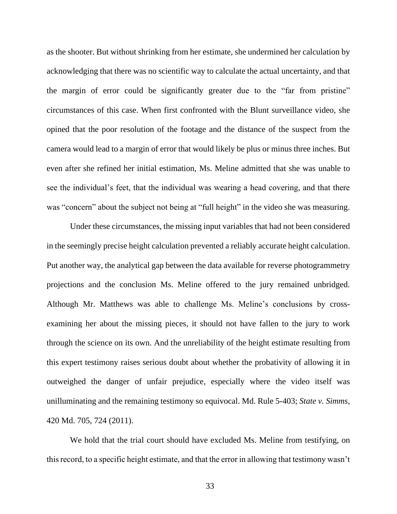as the shooter. But without shrinking from her estimate, she undermined her calculation by acknowledging that there was no scientific way to calculate the actual uncertainty, and that the margin of error could be significantly greater due to the "far from pristine" circumstances of this case. When first confronted with the Blunt surveillance video, she opined that the poor resolution of the footage and the distance of the suspect from the camera would lead to a margin of error that would likely be plus or minus three inches. But even after she refined her initial estimation, Ms. Meline admitted that she was unable to see the individual's feet, that the individual was wearing a head covering, and that there was "concern" about the subject not being at "full height" in the video she was measuring.

Under these circumstances, the missing input variables that had not been considered in the seemingly precise height calculation prevented a reliably accurate height calculation. Put another way, the analytical gap between the data available for reverse photogrammetry projections and the conclusion Ms. Meline offered to the jury remained unbridged. Although Mr. Matthews was able to challenge Ms. Meline's conclusions by crossexamining her about the missing pieces, it should not have fallen to the jury to work through the science on its own. And the unreliability of the height estimate resulting from this expert testimony raises serious doubt about whether the probativity of allowing it in outweighed the danger of unfair prejudice, especially where the video itself was unilluminating and the remaining testimony so equivocal. Md. Rule 5-403; *State v. Simms*, 420 Md. 705, 724 (2011).

We hold that the trial court should have excluded Ms. Meline from testifying, on this record, to a specific height estimate, and that the error in allowing that testimony wasn't